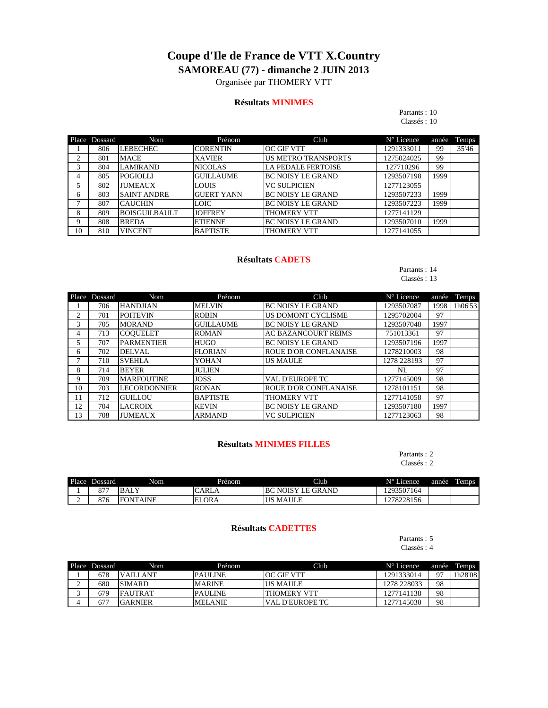# **Coupe d'Ile de France de VTT X.Country SAMOREAU (77) - dimanche 2 JUIN 2013**

Organisée par THOMERY VTT

### **Résultats MINIMES**

## Partants : 10

Classés : 10

|    | Place Dossard | Nom                  | Prénom             | Club                       | $N^{\circ}$ Licence | année | Temps |
|----|---------------|----------------------|--------------------|----------------------------|---------------------|-------|-------|
|    | 806           | <b>LEBECHEC</b>      | <b>CORENTIN</b>    | <b>OC GIF VTT</b>          | 1291333011          | 99    | 35'46 |
|    | 801           | <b>MACE</b>          | <b>XAVIER</b>      | <b>US METRO TRANSPORTS</b> | 1275024025          | 99    |       |
| 3  | 804           | <b>LAMIRAND</b>      | <b>NICOLAS</b>     | <b>LA PEDALE FERTOISE</b>  | 127710296           | 99    |       |
|    | 805           | <b>POGIOLLI</b>      | <b>GUILLAUME</b>   | <b>BC NOISY LE GRAND</b>   | 1293507198          | 1999  |       |
|    | 802           | <b>JUMEAUX</b>       | <b>LOUIS</b>       | <b>VC SULPICIEN</b>        | 1277123055          |       |       |
| 6  | 803           | <b>SAINT ANDRE</b>   | <b>IGUERT YANN</b> | <b>BC NOISY LE GRAND</b>   | 1293507233          | 1999  |       |
|    | 807           | <b>CAUCHIN</b>       | <b>LOIC</b>        | <b>BC NOISY LE GRAND</b>   | 1293507223          | 1999  |       |
| 8  | 809           | <b>BOISGUILBAULT</b> | <b>JOFFREY</b>     | <b>THOMERY VTT</b>         | 1277141129          |       |       |
| 9  | 808           | <b>BREDA</b>         | <b>ETIENNE</b>     | <b>BC NOISY LE GRAND</b>   | 1293507010          | 1999  |       |
| 10 | 810           | <b>VINCENT</b>       | <b>BAPTISTE</b>    | <b>THOMERY VTT</b>         | 1277141055          |       |       |

### **Résultats CADETS**

### Partants : 14 Classés : 13

|                | Place Dossard | <b>Nom</b>          | Prénom           | Club                         | $N^{\circ}$ Licence | année | Temps   |
|----------------|---------------|---------------------|------------------|------------------------------|---------------------|-------|---------|
|                | 706           | <b>HANDJIAN</b>     | <b>MELVIN</b>    | <b>BC NOISY LE GRAND</b>     | 1293507087          | 1998  | 1h06'53 |
| $\mathfrak{D}$ | 701           | <b>POITEVIN</b>     | <b>ROBIN</b>     | US DOMONT CYCLISME           | 1295702004          | 97    |         |
| 3              | 705           | <b>MORAND</b>       | <b>GUILLAUME</b> | <b>BC NOISY LE GRAND</b>     | 1293507048          | 1997  |         |
| 4              | 713           | <b>COOUELET</b>     | <b>ROMAN</b>     | <b>AC BAZANCOURT REIMS</b>   | 751013361           | 97    |         |
|                | 707           | <b>PARMENTIER</b>   | <b>HUGO</b>      | <b>BC NOISY LE GRAND</b>     | 1293507196          | 1997  |         |
| 6              | 702           | <b>DELVAL</b>       | <b>FLORIAN</b>   | <b>ROUE D'OR CONFLANAISE</b> | 1278210003          | 98    |         |
|                | 710           | <b>SVEHLA</b>       | <b>YOHAN</b>     | <b>US MAULE</b>              | 1278 228193         | 97    |         |
| 8              | 714           | <b>BEYER</b>        | <b>JULIEN</b>    |                              | NL                  | 97    |         |
| 9              | 709           | <b>MARFOUTINE</b>   | <b>JOSS</b>      | <b>VAL D'EUROPE TC</b>       | 1277145009          | 98    |         |
| 10             | 703           | <b>LECORDONNIER</b> | <b>RONAN</b>     | <b>ROUE D'OR CONFLANAISE</b> | 1278101151          | 98    |         |
| 11             | 712           | <b>GUILLOU</b>      | <b>BAPTISTE</b>  | THOMERY VTT                  | 1277141058          | 97    |         |
| 12             | 704           | <b>LACROIX</b>      | <b>KEVIN</b>     | <b>BC NOISY LE GRAND</b>     | 1293507180          | 1997  |         |
| 13             | 708           | <b>JUMEAUX</b>      | <b>ARMAND</b>    | <b>VC SULPICIEN</b>          | 1277123063          | 98    |         |

### **Résultats MINIMES FILLES**

Partants : 2 Classés : 2

| Place | Dossard                 | Nom                      | Prénom      | Club                           | N° Licence    | année | <b>Temps</b> |
|-------|-------------------------|--------------------------|-------------|--------------------------------|---------------|-------|--------------|
|       | Q77<br>$\circ$ $\prime$ | <b>TY</b><br><b>BALY</b> | <b>ARLA</b> | NOISY<br><b>LE GRAND</b><br>B0 | 1293507164    |       |              |
| -     | 876                     | FО<br>AINE<br><b>NT</b>  | ELORA       | <b>MAULE</b><br>-US            | 78228156<br>∼ |       |              |

## **Résultats CADETTES**

Partants : 5 Classés : 4

| Place Dossard | Nom             | Prénom         | Club                    | $N^{\circ}$ Licence | année | Temps   |
|---------------|-----------------|----------------|-------------------------|---------------------|-------|---------|
| 678           | <b>VAILLANT</b> | <b>PAULINE</b> | <b>OC GIF VTT</b>       | 1291333014          | 07    | 1h28'08 |
| 680           | <b>SIMARD</b>   | <b>MARINE</b>  | <b>IUS MAULE</b>        | 1278 228033         | 98    |         |
| 679           | <b>FAUTRAT</b>  | <b>PAULINE</b> | ITHOMERY VTT            | 1277141138          | 98    |         |
| 677           | IGARNIER        | <b>MELANIE</b> | <b>IVAL D'EUROPE TC</b> | 1277145030          | 98    |         |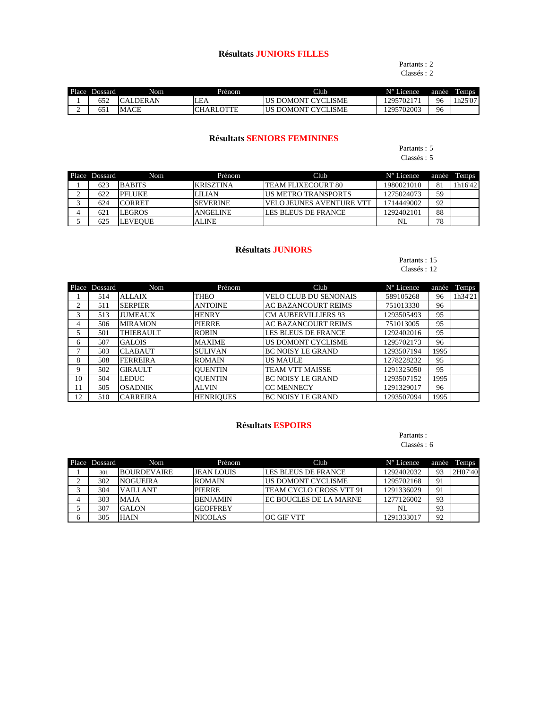## **Résultats JUNIORS FILLES**

## Partants : 2

Classés : 2

| Place | Dossard             | Nom         | Prénom             | Club                                         | $N^{\circ}$ Licence | année | <b>Temps</b>        |
|-------|---------------------|-------------|--------------------|----------------------------------------------|---------------------|-------|---------------------|
|       | 652                 | RAN<br>эн   | LEA                | YCLISME<br>$\Delta M$<br>$\mathcal{Y}$<br>١N | 129570217           | 96    | 25'07<br>و سماند به |
| -     | - <b>-</b> -<br>651 | <b>MACE</b> | <b>OTTE</b><br>ARI | LISME<br>AMONT<br>$\mathcal{Y}$              | 1295702003          | 96    |                     |

## **Résultats SENIORS FEMININES**

### Partants : 5 Classés : 5

|   | Place Dossard | Nom            | Prénom           | Club                        | $N^{\circ}$ Licence | année | Temps   |
|---|---------------|----------------|------------------|-----------------------------|---------------------|-------|---------|
|   | 623           | <b>BABITS</b>  | <b>KRISZTINA</b> | <b>ITEAM FLIXECOURT 80</b>  | 1980021010          | 81    | 1h16'42 |
| ∸ | 622           | <b>PFLUKE</b>  | <b>LILIAN</b>    | <b>IUS METRO TRANSPORTS</b> | 1275024073          | 59    |         |
|   | 624           | <b>ICORRET</b> | <b>ISEVERINE</b> | IVELO JEUNES AVENTURE VTT   | 1714449002          | 92    |         |
|   | 621           | <b>LEGROS</b>  | <b>ANGELINE</b>  | LES BLEUS DE FRANCE         | 1292402101          | 88    |         |
|   | 625           | <b>LEVEOUE</b> | <b>ALINE</b>     |                             | NL                  | 78    |         |

### **Résultats JUNIORS**

### Partants : 15 Classés : 12

|    | Place Dossard | <b>Nom</b>       | Prénom           | Club                         | $N^{\circ}$ Licence | année | Temps   |
|----|---------------|------------------|------------------|------------------------------|---------------------|-------|---------|
|    | 514           | <b>ALLAIX</b>    | <b>THEO</b>      | <b>VELO CLUB DU SENONAIS</b> | 589105268           | 96    | 1h34'21 |
| 2  | 511           | <b>SERPIER</b>   | <b>ANTOINE</b>   | <b>AC BAZANCOURT REIMS</b>   | 751013330           | 96    |         |
| 3  | 513           | <b>JUMEAUX</b>   | <b>HENRY</b>     | <b>CM AUBERVILLIERS 93</b>   | 1293505493          | 95    |         |
| 4  | 506           | <b>MIRAMON</b>   | <b>PIERRE</b>    | <b>AC BAZANCOURT REIMS</b>   | 751013005           | 95    |         |
| 5. | 501           | <b>THIEBAULT</b> | <b>ROBIN</b>     | LES BLEUS DE FRANCE          | 1292402016          | 95    |         |
| 6  | 507           | <b>GALOIS</b>    | <b>MAXIME</b>    | US DOMONT CYCLISME           | 1295702173          | 96    |         |
|    | 503           | <b>CLABAUT</b>   | <b>SULIVAN</b>   | <b>BC NOISY LE GRAND</b>     | 1293507194          | 1995  |         |
| 8  | 508           | <b>FERREIRA</b>  | <b>ROMAIN</b>    | <b>US MAULE</b>              | 1278228232          | 95    |         |
| 9  | 502           | <b>GIRAULT</b>   | <b>QUENTIN</b>   | <b>TEAM VTT MAISSE</b>       | 1291325050          | 95    |         |
| 10 | 504           | <b>LEDUC</b>     | <b>QUENTIN</b>   | <b>BC NOISY LE GRAND</b>     | 1293507152          | 1995  |         |
| 11 | 505           | <b>OSADNIK</b>   | <b>ALVIN</b>     | <b>CC MENNECY</b>            | 1291329017          | 96    |         |
| 12 | 510           | <b>CARREIRA</b>  | <b>HENRIQUES</b> | <b>BC NOISY LE GRAND</b>     | 1293507094          | 1995  |         |

## **Résultats ESPOIRS**

# Partants :

Classés : 6

| Place | Dossard | Nom                | Prénom            | Club                    | $N^{\circ}$ Licence | année | Temps   |
|-------|---------|--------------------|-------------------|-------------------------|---------------------|-------|---------|
|       | 301     | <b>BOURDEVAIRE</b> | <b>JEAN LOUIS</b> | LES BLEUS DE FRANCE     | 1292402032          | 93    | 2H07'40 |
|       | 302     | <b>NOGUEIRA</b>    | <b>ROMAIN</b>     | US DOMONT CYCLISME      | 1295702168          | 91    |         |
|       | 304     | <b>VAILLANT</b>    | <b>PIERRE</b>     | TEAM CYCLO CROSS VTT 91 | 1291336029          | 91    |         |
|       | 303     | <b>MAJA</b>        | <b>BENJAMIN</b>   | EC BOUCLES DE LA MARNE  | 1277126002          | 93    |         |
|       | 307     | <b>GALON</b>       | <b>GEOFFREY</b>   |                         | NL                  | 93    |         |
|       | 305     | <b>HAIN</b>        | <b>NICOLAS</b>    | <b>OC GIF VTT</b>       | 1291333017          | 92    |         |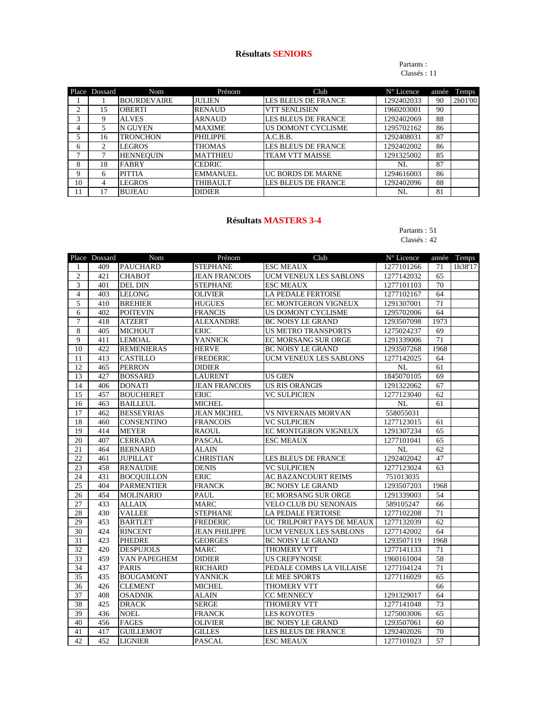## **Résultats SENIORS**

#### Partants : Classés : 11

| Place | Dossard | Nom                | Prénom          | Club                       | N° Licence | année | Temps   |
|-------|---------|--------------------|-----------------|----------------------------|------------|-------|---------|
|       |         | <b>BOURDEVAIRE</b> | <b>JULIEN</b>   | LES BLEUS DE FRANCE        | 1292402033 | 90    | 2h01'00 |
| ↑     | 15      | <b>OBERTI</b>      | <b>RENAUD</b>   | <b>VTT SENLISIEN</b>       | 1960203001 | 90    |         |
| 3     | 9       | <b>ALVES</b>       | <b>ARNAUD</b>   | LES BLEUS DE FRANCE        | 1292402069 | 88    |         |
| 4     | 5       | <b>N GUYEN</b>     | <b>MAXIME</b>   | US DOMONT CYCLISME         | 1295702162 | 86    |         |
|       | 16      | <b>TRONCHON</b>    | <b>PHILIPPE</b> | A.C.B.B.                   | 1292408031 | 87    |         |
| 6     | 2       | <b>LEGROS</b>      | <b>THOMAS</b>   | <b>LES BLEUS DE FRANCE</b> | 1292402002 | 86    |         |
| ⇁     |         | <b>HENNEQUIN</b>   | <b>MATTHIEU</b> | <b>TEAM VTT MAISSE</b>     | 1291325002 | 85    |         |
| 8     | 18      | <b>FABRY</b>       | <b>CEDRIC</b>   |                            | NL         | 87    |         |
| 9     | 6       | <b>PITTIA</b>      | <b>EMMANUEL</b> | UC BORDS DE MARNE          | 1294616003 | 86    |         |
| 10    | 4       | <b>LEGROS</b>      | <b>THIBAULT</b> | <b>LES BLEUS DE FRANCE</b> | 1292402096 | 88    |         |
|       | 17      | <b>BUJEAU</b>      | <b>DIDIER</b>   |                            | NL         | 81    |         |

## **Résultats MASTERS 3-4**

## Partants : 51

## Classés : 42

|                | Place Dossard | Nom               | Prénom               | Club                          | N° Licence |      | année Temps |
|----------------|---------------|-------------------|----------------------|-------------------------------|------------|------|-------------|
| 1              | 409           | <b>PAUCHARD</b>   | <b>STEPHANE</b>      | <b>ESC MEAUX</b>              | 1277101266 | 71   | 1h38'17     |
| $\overline{2}$ | 421           | <b>CHABOT</b>     | <b>JEAN FRANCOIS</b> | <b>UCM VENEUX LES SABLONS</b> | 1277142032 | 65   |             |
| 3              | 401           | <b>DEL DIN</b>    | <b>STEPHANE</b>      | <b>ESC MEAUX</b>              | 1277101103 | 70   |             |
| $\overline{4}$ | 403           | <b>LELONG</b>     | <b>OLIVIER</b>       | <b>LA PEDALE FERTOISE</b>     | 1277102167 | 64   |             |
| 5              | 410           | <b>BREHIER</b>    | <b>HUGUES</b>        | EC MONTGERON VIGNEUX          | 1291307001 | 71   |             |
| 6              | 402           | <b>POITEVIN</b>   | <b>FRANCIS</b>       | US DOMONT CYCLISME            | 1295702006 | 64   |             |
| $\tau$         | 418           | <b>ATZERT</b>     | <b>ALEXANDRE</b>     | <b>BC NOISY LE GRAND</b>      | 1293507098 | 1973 |             |
| 8              | 405           | <b>MICHOUT</b>    | <b>ERIC</b>          | <b>US METRO TRANSPORTS</b>    | 1275024237 | 69   |             |
| 9              | 411           | <b>LEMOAL</b>     | <b>YANNICK</b>       | EC MORSANG SUR ORGE           | 1291339006 | 71   |             |
| 10             | 422           | <b>REMENIERAS</b> | <b>HERVE</b>         | <b>BC NOISY LE GRAND</b>      | 1293507268 | 1968 |             |
| 11             | 413           | <b>CASTILLO</b>   | <b>FREDERIC</b>      | <b>UCM VENEUX LES SABLONS</b> | 1277142025 | 64   |             |
| 12             | 465           | <b>PERRON</b>     | <b>DIDIER</b>        |                               | <b>NL</b>  | 61   |             |
| 13             | 427           | <b>BOSSARD</b>    | <b>LAURENT</b>       | <b>US GIEN</b>                | 1845070105 | 69   |             |
| 14             | 406           | <b>DONATI</b>     | <b>JEAN FRANCOIS</b> | <b>US RIS ORANGIS</b>         | 1291322062 | 67   |             |
| 15             | 457           | <b>BOUCHERET</b>  | <b>ERIC</b>          | <b>VC SULPICIEN</b>           | 1277123040 | 62   |             |
| 16             | 463           | <b>BAILLEUL</b>   | <b>MICHEL</b>        |                               | <b>NL</b>  | 61   |             |
| 17             | 462           | <b>BESSEYRIAS</b> | <b>JEAN MICHEL</b>   | <b>VS NIVERNAIS MORVAN</b>    | 558055031  |      |             |
| 18             | 460           | <b>CONSENTINO</b> | <b>FRANCOIS</b>      | <b>VC SULPICIEN</b>           | 1277123015 | 61   |             |
| 19             | 414           | <b>MEYER</b>      | <b>RAOUL</b>         | <b>EC MONTGERON VIGNEUX</b>   | 1291307234 | 65   |             |
| 20             | 407           | <b>CERRADA</b>    | <b>PASCAL</b>        | <b>ESC MEAUX</b>              | 1277101041 | 65   |             |
| 21             | 464           | <b>BERNARD</b>    | <b>ALAIN</b>         |                               | NL         | 62   |             |
| 22             | 461           | <b>JUPILLAT</b>   | <b>CHRISTIAN</b>     | LES BLEUS DE FRANCE           | 1292402042 | 47   |             |
| 23             | 458           | <b>RENAUDIE</b>   | <b>DENIS</b>         | <b>VC SULPICIEN</b>           | 1277123024 | 63   |             |
| 24             | 431           | <b>BOCQUILLON</b> | <b>ERIC</b>          | <b>AC BAZANCOURT REIMS</b>    | 751013035  |      |             |
| 25             | 404           | <b>PARMENTIER</b> | <b>FRANCK</b>        | <b>BC NOISY LE GRAND</b>      | 1293507203 | 1968 |             |
| 26             | 454           | <b>MOLINARIO</b>  | <b>PAUL</b>          | EC MORSANG SUR ORGE           | 1291339003 | 54   |             |
| 27             | 433           | <b>ALLAIX</b>     | MARC                 | <b>VELO CLUB DU SENONAIS</b>  | 589105247  | 66   |             |
| 28             | 430           | <b>VALLEE</b>     | <b>STEPHANE</b>      | LA PEDALE FERTOISE            | 1277102208 | 71   |             |
| 29             | 453           | <b>BARTLET</b>    | <b>FREDERIC</b>      | UC TRILPORT PAYS DE MEAUX     | 1277132039 | 62   |             |
| 30             | 424           | <b>RINCENT</b>    | <b>JEAN PHILIPPE</b> | UCM VENEUX LES SABLONS        | 1277142002 | 64   |             |
| 31             | 423           | <b>PHEDRE</b>     | <b>GEORGES</b>       | <b>BC NOISY LE GRAND</b>      | 1293507119 | 1968 |             |
| 32             | 420           | <b>DESPUJOLS</b>  | <b>MARC</b>          | THOMERY VTT                   | 1277141133 | 71   |             |
| 33             | 459           | VAN PAPEGHEM      | <b>DIDIER</b>        | <b>US CREPYNOISE</b>          | 1960161004 | 58   |             |
| 34             | 437           | <b>PARIS</b>      | <b>RICHARD</b>       | PEDALE COMBS LA VILLAISE      | 1277104124 | 71   |             |
| 35             | 435           | <b>BOUGAMONT</b>  | <b>YANNICK</b>       | LE MEE SPORTS                 | 1277116029 | 65   |             |
| 36             | 426           | <b>CLEMENT</b>    | <b>MICHEL</b>        | THOMERY VTT                   |            | 66   |             |
| 37             | 408           | <b>OSADNIK</b>    | <b>ALAIN</b>         | <b>CC MENNECY</b>             | 1291329017 | 64   |             |
| 38             | 425           | <b>DRACK</b>      | <b>SERGE</b>         | THOMERY VTT                   | 1277141048 | 73   |             |
| 39             | 436           | <b>NOEL</b>       | <b>FRANCK</b>        | <b>LES KOYOTES</b>            | 1275003006 | 65   |             |
| 40             | 456           | <b>FAGES</b>      | <b>OLIVIER</b>       | <b>BC NOISY LE GRAND</b>      | 1293507061 | 60   |             |
| 41             | 417           | <b>GUILLEMOT</b>  | <b>GILLES</b>        | LES BLEUS DE FRANCE           | 1292402026 | 70   |             |
| 42             | 452           | <b>LIGNIER</b>    | <b>PASCAL</b>        | <b>ESC MEAUX</b>              | 1277101023 | 57   |             |